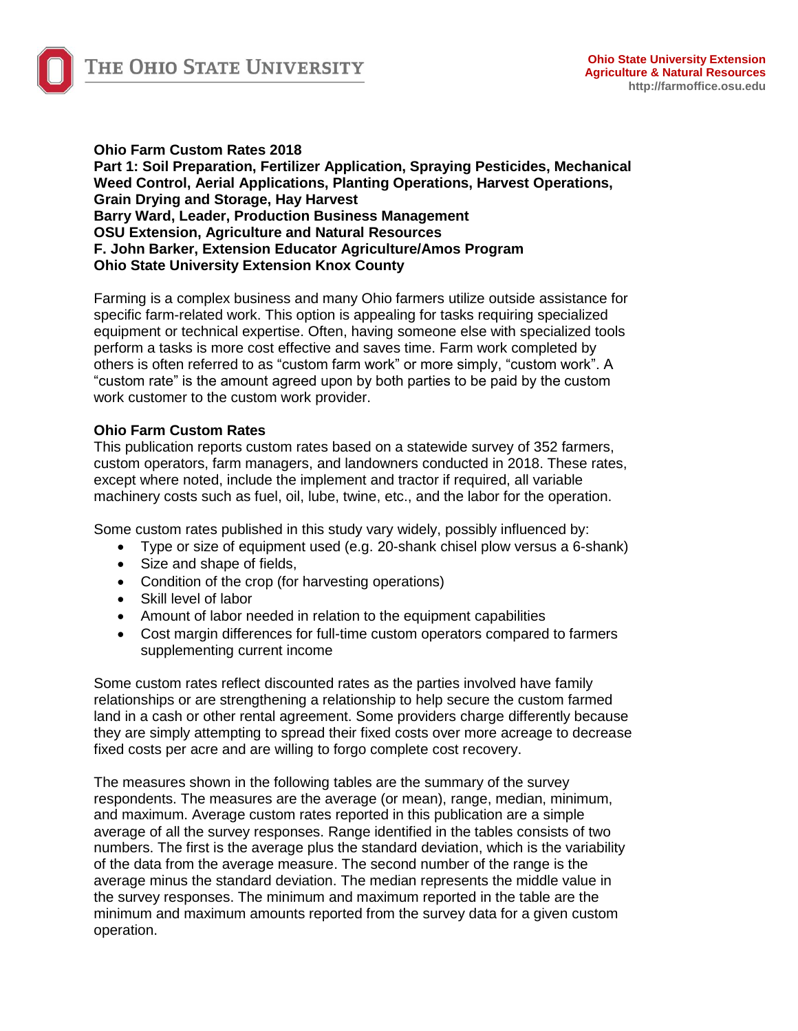

**Ohio Farm Custom Rates 2018 Part 1: Soil Preparation, Fertilizer Application, Spraying Pesticides, Mechanical Weed Control, Aerial Applications, Planting Operations, Harvest Operations, Grain Drying and Storage, Hay Harvest Barry Ward, Leader, Production Business Management OSU Extension, Agriculture and Natural Resources F. John Barker, Extension Educator Agriculture/Amos Program Ohio State University Extension Knox County**

Farming is a complex business and many Ohio farmers utilize outside assistance for specific farm-related work. This option is appealing for tasks requiring specialized equipment or technical expertise. Often, having someone else with specialized tools perform a tasks is more cost effective and saves time. Farm work completed by others is often referred to as "custom farm work" or more simply, "custom work". A "custom rate" is the amount agreed upon by both parties to be paid by the custom work customer to the custom work provider.

#### **Ohio Farm Custom Rates**

This publication reports custom rates based on a statewide survey of 352 farmers, custom operators, farm managers, and landowners conducted in 2018. These rates, except where noted, include the implement and tractor if required, all variable machinery costs such as fuel, oil, lube, twine, etc., and the labor for the operation.

Some custom rates published in this study vary widely, possibly influenced by:

- Type or size of equipment used (e.g. 20-shank chisel plow versus a 6-shank)
- Size and shape of fields,
- Condition of the crop (for harvesting operations)
- Skill level of labor
- Amount of labor needed in relation to the equipment capabilities
- Cost margin differences for full-time custom operators compared to farmers supplementing current income

Some custom rates reflect discounted rates as the parties involved have family relationships or are strengthening a relationship to help secure the custom farmed land in a cash or other rental agreement. Some providers charge differently because they are simply attempting to spread their fixed costs over more acreage to decrease fixed costs per acre and are willing to forgo complete cost recovery.

The measures shown in the following tables are the summary of the survey respondents. The measures are the average (or mean), range, median, minimum, and maximum. Average custom rates reported in this publication are a simple average of all the survey responses. Range identified in the tables consists of two numbers. The first is the average plus the standard deviation, which is the variability of the data from the average measure. The second number of the range is the average minus the standard deviation. The median represents the middle value in the survey responses. The minimum and maximum reported in the table are the minimum and maximum amounts reported from the survey data for a given custom operation.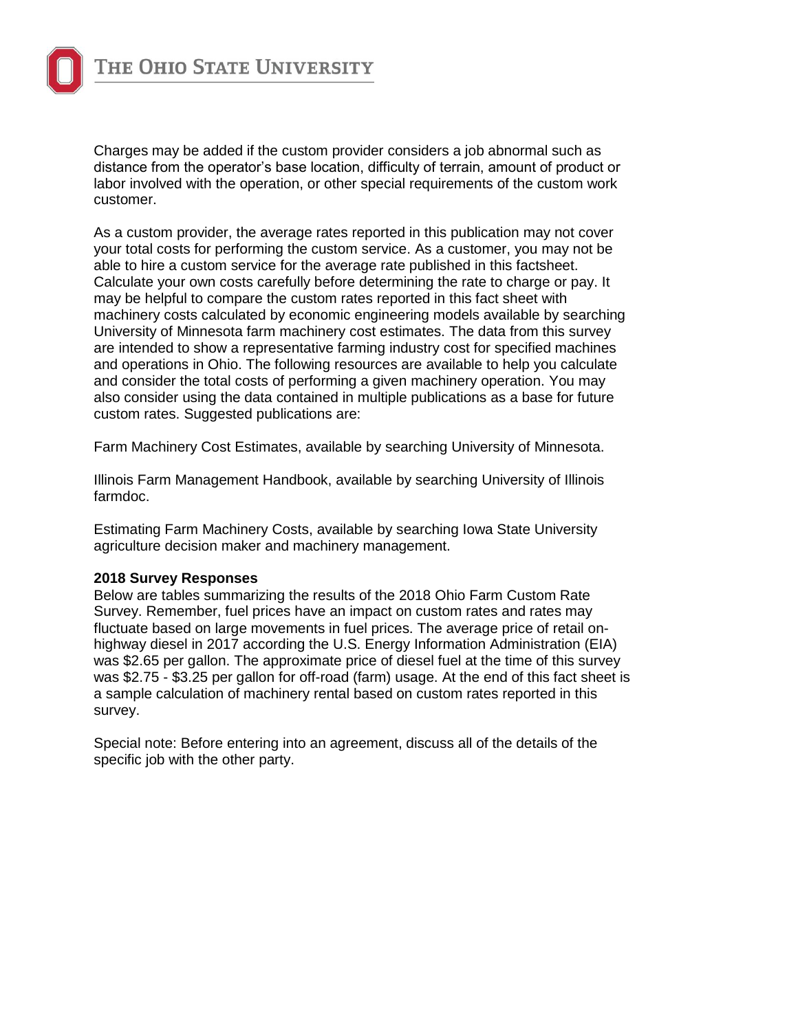

Charges may be added if the custom provider considers a job abnormal such as distance from the operator's base location, difficulty of terrain, amount of product or labor involved with the operation, or other special requirements of the custom work customer.

As a custom provider, the average rates reported in this publication may not cover your total costs for performing the custom service. As a customer, you may not be able to hire a custom service for the average rate published in this factsheet. Calculate your own costs carefully before determining the rate to charge or pay. It may be helpful to compare the custom rates reported in this fact sheet with machinery costs calculated by economic engineering models available by searching University of Minnesota farm machinery cost estimates. The data from this survey are intended to show a representative farming industry cost for specified machines and operations in Ohio. The following resources are available to help you calculate and consider the total costs of performing a given machinery operation. You may also consider using the data contained in multiple publications as a base for future custom rates. Suggested publications are:

Farm Machinery Cost Estimates, available by searching University of Minnesota.

Illinois Farm Management Handbook, available by searching University of Illinois farmdoc.

Estimating Farm Machinery Costs, available by searching Iowa State University agriculture decision maker and machinery management.

#### **2018 Survey Responses**

Below are tables summarizing the results of the 2018 Ohio Farm Custom Rate Survey. Remember, fuel prices have an impact on custom rates and rates may fluctuate based on large movements in fuel prices. The average price of retail onhighway diesel in 2017 according the U.S. Energy Information Administration (EIA) was \$2.65 per gallon. The approximate price of diesel fuel at the time of this survey was \$2.75 - \$3.25 per gallon for off-road (farm) usage. At the end of this fact sheet is a sample calculation of machinery rental based on custom rates reported in this survey.

Special note: Before entering into an agreement, discuss all of the details of the specific job with the other party.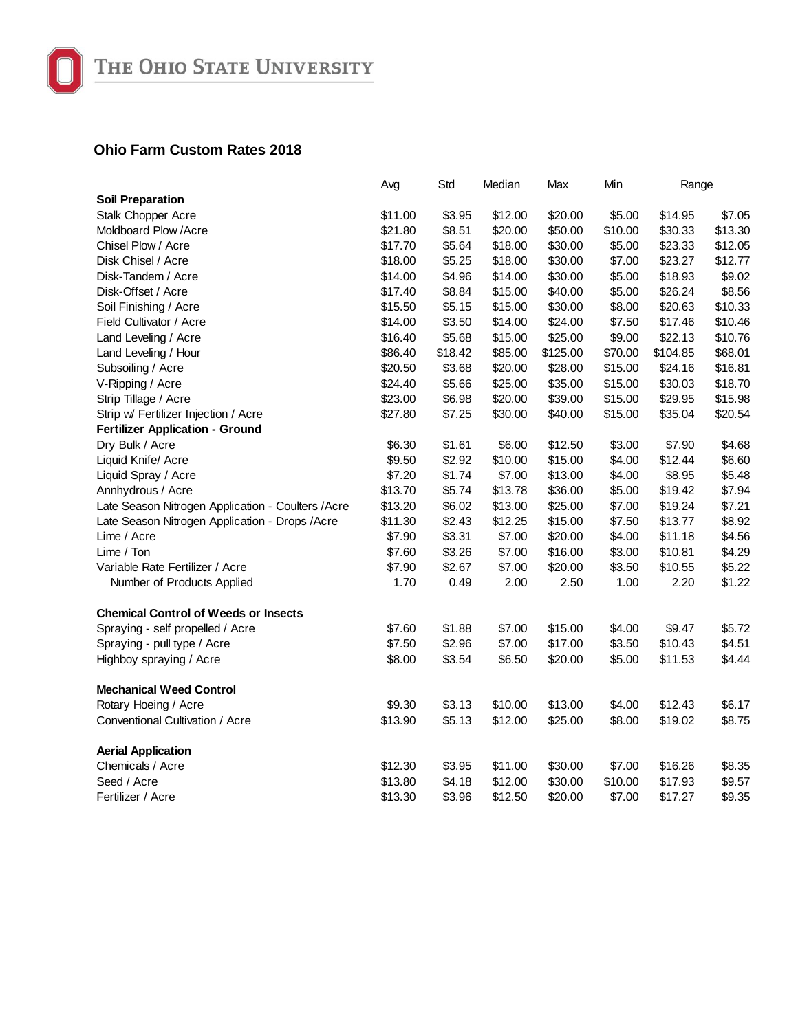

## **Ohio Farm Custom Rates 2018**

|                                                    | Avg     | Std     | Median  | Max      | Min     | Range    |         |
|----------------------------------------------------|---------|---------|---------|----------|---------|----------|---------|
| <b>Soil Preparation</b>                            |         |         |         |          |         |          |         |
| Stalk Chopper Acre                                 | \$11.00 | \$3.95  | \$12.00 | \$20.00  | \$5.00  | \$14.95  | \$7.05  |
| Moldboard Plow / Acre                              | \$21.80 | \$8.51  | \$20.00 | \$50.00  | \$10.00 | \$30.33  | \$13.30 |
| Chisel Plow / Acre                                 | \$17.70 | \$5.64  | \$18.00 | \$30.00  | \$5.00  | \$23.33  | \$12.05 |
| Disk Chisel / Acre                                 | \$18.00 | \$5.25  | \$18.00 | \$30.00  | \$7.00  | \$23.27  | \$12.77 |
| Disk-Tandem / Acre                                 | \$14.00 | \$4.96  | \$14.00 | \$30.00  | \$5.00  | \$18.93  | \$9.02  |
| Disk-Offset / Acre                                 | \$17.40 | \$8.84  | \$15.00 | \$40.00  | \$5.00  | \$26.24  | \$8.56  |
| Soil Finishing / Acre                              | \$15.50 | \$5.15  | \$15.00 | \$30.00  | \$8.00  | \$20.63  | \$10.33 |
| Field Cultivator / Acre                            | \$14.00 | \$3.50  | \$14.00 | \$24.00  | \$7.50  | \$17.46  | \$10.46 |
| Land Leveling / Acre                               | \$16.40 | \$5.68  | \$15.00 | \$25.00  | \$9.00  | \$22.13  | \$10.76 |
| Land Leveling / Hour                               | \$86.40 | \$18.42 | \$85.00 | \$125.00 | \$70.00 | \$104.85 | \$68.01 |
| Subsoiling / Acre                                  | \$20.50 | \$3.68  | \$20.00 | \$28.00  | \$15.00 | \$24.16  | \$16.81 |
| V-Ripping / Acre                                   | \$24.40 | \$5.66  | \$25.00 | \$35.00  | \$15.00 | \$30.03  | \$18.70 |
| Strip Tillage / Acre                               | \$23.00 | \$6.98  | \$20.00 | \$39.00  | \$15.00 | \$29.95  | \$15.98 |
| Strip w/ Fertilizer Injection / Acre               | \$27.80 | \$7.25  | \$30.00 | \$40.00  | \$15.00 | \$35.04  | \$20.54 |
| <b>Fertilizer Application - Ground</b>             |         |         |         |          |         |          |         |
| Dry Bulk / Acre                                    | \$6.30  | \$1.61  | \$6.00  | \$12.50  | \$3.00  | \$7.90   | \$4.68  |
| Liquid Knife/ Acre                                 | \$9.50  | \$2.92  | \$10.00 | \$15.00  | \$4.00  | \$12.44  | \$6.60  |
| Liquid Spray / Acre                                | \$7.20  | \$1.74  | \$7.00  | \$13.00  | \$4.00  | \$8.95   | \$5.48  |
| Annhydrous / Acre                                  | \$13.70 | \$5.74  | \$13.78 | \$36.00  | \$5.00  | \$19.42  | \$7.94  |
| Late Season Nitrogen Application - Coulters / Acre | \$13.20 | \$6.02  | \$13.00 | \$25.00  | \$7.00  | \$19.24  | \$7.21  |
| Late Season Nitrogen Application - Drops / Acre    | \$11.30 | \$2.43  | \$12.25 | \$15.00  | \$7.50  | \$13.77  | \$8.92  |
| Lime / Acre                                        | \$7.90  | \$3.31  | \$7.00  | \$20.00  | \$4.00  | \$11.18  | \$4.56  |
| Lime / Ton                                         | \$7.60  | \$3.26  | \$7.00  | \$16.00  | \$3.00  | \$10.81  | \$4.29  |
| Variable Rate Fertilizer / Acre                    | \$7.90  | \$2.67  | \$7.00  | \$20.00  | \$3.50  | \$10.55  | \$5.22  |
| Number of Products Applied                         | 1.70    | 0.49    | 2.00    | 2.50     | 1.00    | 2.20     | \$1.22  |
| <b>Chemical Control of Weeds or Insects</b>        |         |         |         |          |         |          |         |
| Spraying - self propelled / Acre                   | \$7.60  | \$1.88  | \$7.00  | \$15.00  | \$4.00  | \$9.47   | \$5.72  |
| Spraying - pull type / Acre                        | \$7.50  | \$2.96  | \$7.00  | \$17.00  | \$3.50  | \$10.43  | \$4.51  |
| Highboy spraying / Acre                            | \$8.00  | \$3.54  | \$6.50  | \$20.00  | \$5.00  | \$11.53  | \$4.44  |
| <b>Mechanical Weed Control</b>                     |         |         |         |          |         |          |         |
| Rotary Hoeing / Acre                               | \$9.30  | \$3.13  | \$10.00 | \$13.00  | \$4.00  | \$12.43  | \$6.17  |
| Conventional Cultivation / Acre                    | \$13.90 | \$5.13  | \$12.00 | \$25.00  | \$8.00  | \$19.02  | \$8.75  |
| <b>Aerial Application</b>                          |         |         |         |          |         |          |         |
| Chemicals / Acre                                   | \$12.30 | \$3.95  | \$11.00 | \$30.00  | \$7.00  | \$16.26  | \$8.35  |
| Seed / Acre                                        | \$13.80 | \$4.18  | \$12.00 | \$30.00  | \$10.00 | \$17.93  | \$9.57  |
| Fertilizer / Acre                                  | \$13.30 | \$3.96  | \$12.50 | \$20.00  | \$7.00  | \$17.27  | \$9.35  |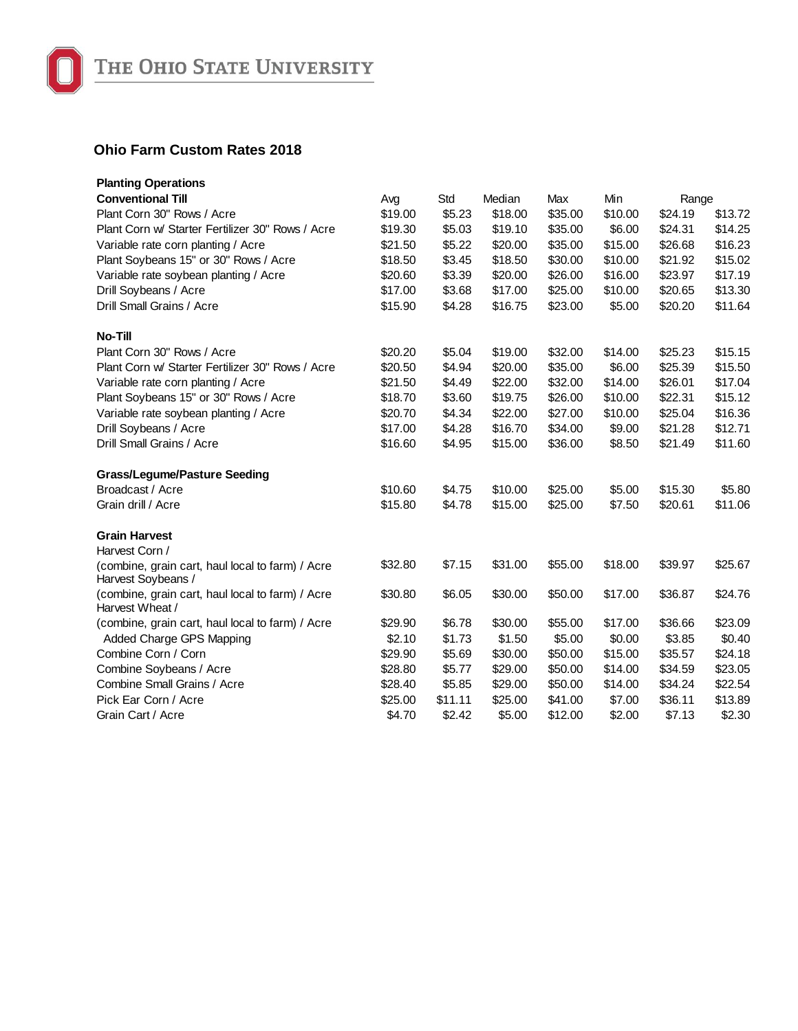

## **Ohio Farm Custom Rates 2018**

| <b>Planting Operations</b>                                             |         |         |         |         |         |         |         |  |
|------------------------------------------------------------------------|---------|---------|---------|---------|---------|---------|---------|--|
| <b>Conventional Till</b>                                               | Avg     | Std     | Median  | Max     | Min     | Range   |         |  |
| Plant Corn 30" Rows / Acre                                             | \$19.00 | \$5.23  | \$18.00 | \$35.00 | \$10.00 | \$24.19 | \$13.72 |  |
| Plant Corn w/ Starter Fertilizer 30" Rows / Acre                       | \$19.30 | \$5.03  | \$19.10 | \$35.00 | \$6.00  | \$24.31 | \$14.25 |  |
| Variable rate corn planting / Acre                                     | \$21.50 | \$5.22  | \$20.00 | \$35.00 | \$15.00 | \$26.68 | \$16.23 |  |
| Plant Soybeans 15" or 30" Rows / Acre                                  | \$18.50 | \$3.45  | \$18.50 | \$30.00 | \$10.00 | \$21.92 | \$15.02 |  |
| Variable rate soybean planting / Acre                                  | \$20.60 | \$3.39  | \$20.00 | \$26.00 | \$16.00 | \$23.97 | \$17.19 |  |
| Drill Soybeans / Acre                                                  | \$17.00 | \$3.68  | \$17.00 | \$25.00 | \$10.00 | \$20.65 | \$13.30 |  |
| Drill Small Grains / Acre                                              | \$15.90 | \$4.28  | \$16.75 | \$23.00 | \$5.00  | \$20.20 | \$11.64 |  |
| <b>No-Till</b>                                                         |         |         |         |         |         |         |         |  |
| Plant Corn 30" Rows / Acre                                             | \$20.20 | \$5.04  | \$19.00 | \$32.00 | \$14.00 | \$25.23 | \$15.15 |  |
| Plant Corn w/ Starter Fertilizer 30" Rows / Acre                       | \$20.50 | \$4.94  | \$20.00 | \$35.00 | \$6.00  | \$25.39 | \$15.50 |  |
| Variable rate corn planting / Acre                                     | \$21.50 | \$4.49  | \$22.00 | \$32.00 | \$14.00 | \$26.01 | \$17.04 |  |
| Plant Soybeans 15" or 30" Rows / Acre                                  | \$18.70 | \$3.60  | \$19.75 | \$26.00 | \$10.00 | \$22.31 | \$15.12 |  |
| Variable rate soybean planting / Acre                                  | \$20.70 | \$4.34  | \$22.00 | \$27.00 | \$10.00 | \$25.04 | \$16.36 |  |
| Drill Soybeans / Acre                                                  | \$17.00 | \$4.28  | \$16.70 | \$34.00 | \$9.00  | \$21.28 | \$12.71 |  |
| Drill Small Grains / Acre                                              | \$16.60 | \$4.95  | \$15.00 | \$36.00 | \$8.50  | \$21.49 | \$11.60 |  |
| <b>Grass/Legume/Pasture Seeding</b>                                    |         |         |         |         |         |         |         |  |
| Broadcast / Acre                                                       | \$10.60 | \$4.75  | \$10.00 | \$25.00 | \$5.00  | \$15.30 | \$5.80  |  |
| Grain drill / Acre                                                     | \$15.80 | \$4.78  | \$15.00 | \$25.00 | \$7.50  | \$20.61 | \$11.06 |  |
| <b>Grain Harvest</b>                                                   |         |         |         |         |         |         |         |  |
| Harvest Corn /                                                         |         |         |         |         |         |         |         |  |
| (combine, grain cart, haul local to farm) / Acre<br>Harvest Soybeans / | \$32.80 | \$7.15  | \$31.00 | \$55.00 | \$18.00 | \$39.97 | \$25.67 |  |
| (combine, grain cart, haul local to farm) / Acre<br>Harvest Wheat /    | \$30.80 | \$6.05  | \$30.00 | \$50.00 | \$17.00 | \$36.87 | \$24.76 |  |
| (combine, grain cart, haul local to farm) / Acre                       | \$29.90 | \$6.78  | \$30.00 | \$55.00 | \$17.00 | \$36.66 | \$23.09 |  |
| Added Charge GPS Mapping                                               | \$2.10  | \$1.73  | \$1.50  | \$5.00  | \$0.00  | \$3.85  | \$0.40  |  |
| Combine Corn / Corn                                                    | \$29.90 | \$5.69  | \$30.00 | \$50.00 | \$15.00 | \$35.57 | \$24.18 |  |
| Combine Soybeans / Acre                                                | \$28.80 | \$5.77  | \$29.00 | \$50.00 | \$14.00 | \$34.59 | \$23.05 |  |
| Combine Small Grains / Acre                                            | \$28.40 | \$5.85  | \$29.00 | \$50.00 | \$14.00 | \$34.24 | \$22.54 |  |
| Pick Ear Corn / Acre                                                   | \$25.00 | \$11.11 | \$25.00 | \$41.00 | \$7.00  | \$36.11 | \$13.89 |  |
| Grain Cart / Acre                                                      | \$4.70  | \$2.42  | \$5.00  | \$12.00 | \$2.00  | \$7.13  | \$2.30  |  |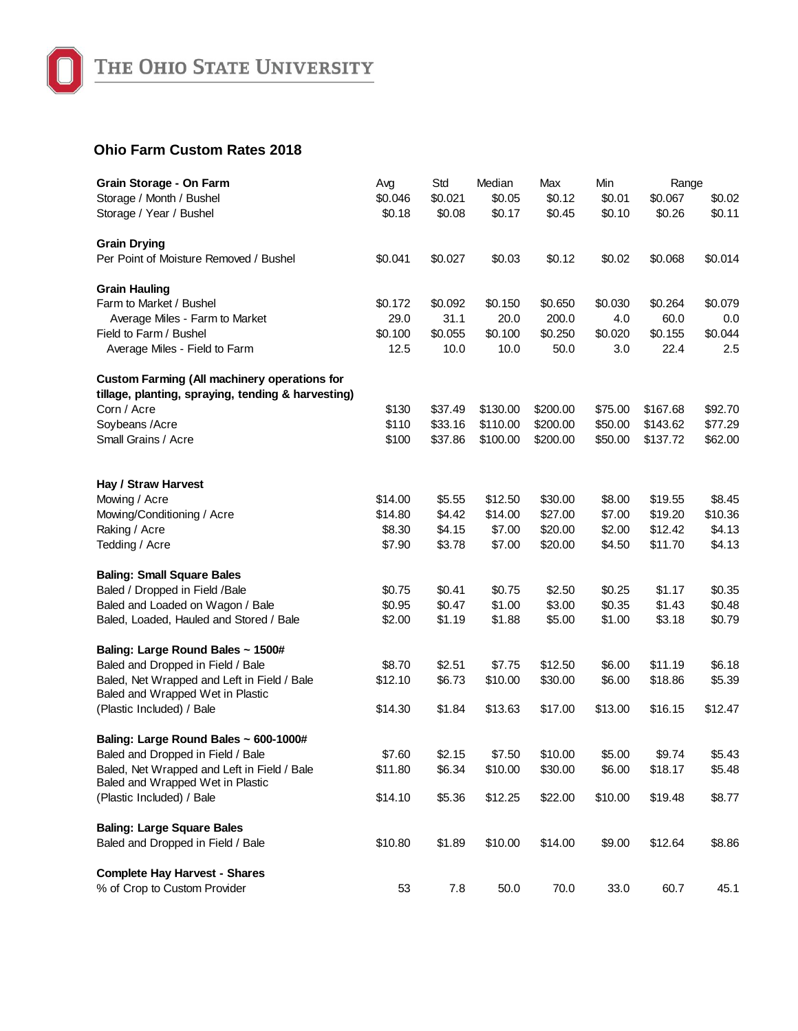

## **Ohio Farm Custom Rates 2018**

| Grain Storage - On Farm                             | Avg     | Std     | Median   | Max      | Min     | Range    |         |
|-----------------------------------------------------|---------|---------|----------|----------|---------|----------|---------|
| Storage / Month / Bushel                            | \$0.046 | \$0.021 | \$0.05   | \$0.12   | \$0.01  | \$0.067  | \$0.02  |
| Storage / Year / Bushel                             | \$0.18  | \$0.08  | \$0.17   | \$0.45   | \$0.10  | \$0.26   | \$0.11  |
|                                                     |         |         |          |          |         |          |         |
| <b>Grain Drying</b>                                 |         |         |          |          |         |          |         |
| Per Point of Moisture Removed / Bushel              | \$0.041 | \$0.027 | \$0.03   | \$0.12   | \$0.02  | \$0.068  | \$0.014 |
| <b>Grain Hauling</b>                                |         |         |          |          |         |          |         |
| Farm to Market / Bushel                             | \$0.172 | \$0.092 | \$0.150  | \$0.650  | \$0.030 | \$0.264  | \$0.079 |
| Average Miles - Farm to Market                      | 29.0    | 31.1    | 20.0     | 200.0    | 4.0     | 60.0     | 0.0     |
| Field to Farm / Bushel                              | \$0.100 | \$0.055 | \$0.100  | \$0.250  | \$0.020 | \$0.155  | \$0.044 |
| Average Miles - Field to Farm                       | 12.5    | 10.0    | 10.0     | 50.0     | 3.0     | 22.4     | 2.5     |
| <b>Custom Farming (All machinery operations for</b> |         |         |          |          |         |          |         |
| tillage, planting, spraying, tending & harvesting)  |         |         |          |          |         |          |         |
| Corn / Acre                                         | \$130   | \$37.49 | \$130.00 | \$200.00 | \$75.00 | \$167.68 | \$92.70 |
| Soybeans / Acre                                     | \$110   | \$33.16 | \$110.00 | \$200.00 | \$50.00 | \$143.62 | \$77.29 |
| Small Grains / Acre                                 | \$100   | \$37.86 | \$100.00 | \$200.00 | \$50.00 | \$137.72 | \$62.00 |
|                                                     |         |         |          |          |         |          |         |
| Hay / Straw Harvest                                 |         |         |          |          |         |          |         |
| Mowing / Acre                                       | \$14.00 | \$5.55  | \$12.50  | \$30.00  | \$8.00  | \$19.55  | \$8.45  |
| Mowing/Conditioning / Acre                          | \$14.80 | \$4.42  | \$14.00  | \$27.00  | \$7.00  | \$19.20  | \$10.36 |
| Raking / Acre                                       | \$8.30  | \$4.15  | \$7.00   | \$20.00  | \$2.00  | \$12.42  | \$4.13  |
| Tedding / Acre                                      | \$7.90  | \$3.78  | \$7.00   | \$20.00  | \$4.50  | \$11.70  | \$4.13  |
|                                                     |         |         |          |          |         |          |         |
| <b>Baling: Small Square Bales</b>                   |         |         |          |          |         |          |         |
| Baled / Dropped in Field /Bale                      | \$0.75  | \$0.41  | \$0.75   | \$2.50   | \$0.25  | \$1.17   | \$0.35  |
| Baled and Loaded on Wagon / Bale                    | \$0.95  | \$0.47  | \$1.00   | \$3.00   | \$0.35  | \$1.43   | \$0.48  |
| Baled, Loaded, Hauled and Stored / Bale             | \$2.00  | \$1.19  | \$1.88   | \$5.00   | \$1.00  | \$3.18   | \$0.79  |
| Baling: Large Round Bales ~ 1500#                   |         |         |          |          |         |          |         |
| Baled and Dropped in Field / Bale                   | \$8.70  | \$2.51  | \$7.75   | \$12.50  | \$6.00  | \$11.19  | \$6.18  |
| Baled, Net Wrapped and Left in Field / Bale         | \$12.10 | \$6.73  | \$10.00  | \$30.00  | \$6.00  | \$18.86  | \$5.39  |
| Baled and Wrapped Wet in Plastic                    |         |         |          |          |         |          |         |
| (Plastic Included) / Bale                           | \$14.30 | \$1.84  | \$13.63  | \$17.00  | \$13.00 | \$16.15  | \$12.47 |
| Baling: Large Round Bales ~ 600-1000#               |         |         |          |          |         |          |         |
| Baled and Dropped in Field / Bale                   | \$7.60  | \$2.15  | \$7.50   | \$10.00  | \$5.00  | \$9.74   | \$5.43  |
| Baled, Net Wrapped and Left in Field / Bale         | \$11.80 | \$6.34  | \$10.00  | \$30.00  | \$6.00  | \$18.17  | \$5.48  |
| Baled and Wrapped Wet in Plastic                    |         |         |          |          |         |          |         |
| (Plastic Included) / Bale                           | \$14.10 | \$5.36  | \$12.25  | \$22.00  | \$10.00 | \$19.48  | \$8.77  |
| <b>Baling: Large Square Bales</b>                   |         |         |          |          |         |          |         |
| Baled and Dropped in Field / Bale                   | \$10.80 | \$1.89  | \$10.00  | \$14.00  | \$9.00  | \$12.64  | \$8.86  |
| <b>Complete Hay Harvest - Shares</b>                |         |         |          |          |         |          |         |
| % of Crop to Custom Provider                        | 53      | 7.8     | 50.0     | 70.0     | 33.0    | 60.7     | 45.1    |